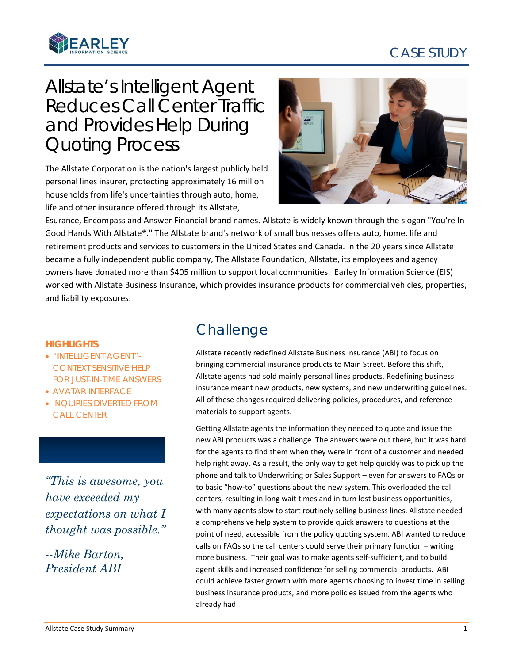# CASE STUDY



# Allstate's Intelligent Agent Reduces Call Center Traffic and Provides Help During Quoting Process

The Allstate Corporation is the nation's largest publicly held personal lines insurer, protecting approximately 16 million households from life's uncertainties through auto, home, life and other insurance offered through its Allstate,



Esurance, Encompass and Answer Financial brand names. Allstate is widely known through the slogan "You're In Good Hands With Allstate®." The Allstate brand's network of small businesses offers auto, home, life and retirement products and services to customers in the United States and Canada. In the 20 years since Allstate became a fully independent public company, The Allstate Foundation, Allstate, its employees and agency owners have donated more than \$405 million to support local communities. Earley Information Science (EIS) worked with Allstate Business Insurance, which provides insurance products for commercial vehicles, properties, and liability exposures.

#### **HIGHLIGHTS**

- "INTELLIGENT AGENT"- CONTEXT SENSITIVE HELP FOR JUST-IN-TIME ANSWERS
- AVATAR INTERFACE
- INQUIRIES DIVERTED FROM CALL CENTER

*"This is awesome, you have exceeded my expectations on what I thought was possible."* 

*--Mike Barton, President ABI*

### **Challenge**

Allstate recently redefined Allstate Business Insurance (ABI) to focus on bringing commercial insurance products to Main Street. Before this shift, Allstate agents had sold mainly personal lines products. Redefining business insurance meant new products, new systems, and new underwriting guidelines. All of these changes required delivering policies, procedures, and reference materials to support agents.

Getting Allstate agents the information they needed to quote and issue the new ABI products was a challenge. The answers were out there, but it was hard for the agents to find them when they were in front of a customer and needed help right away. As a result, the only way to get help quickly was to pick up the phone and talk to Underwriting or Sales Support – even for answers to FAQs or to basic "how-to" questions about the new system. This overloaded the call centers, resulting in long wait times and in turn lost business opportunities, with many agents slow to start routinely selling business lines. Allstate needed a comprehensive help system to provide quick answers to questions at the point of need, accessible from the policy quoting system. ABI wanted to reduce calls on FAQs so the call centers could serve their primary function – writing more business. Their goal was to make agents self-sufficient, and to build agent skills and increased confidence for selling commercial products. ABI could achieve faster growth with more agents choosing to invest time in selling business insurance products, and more policies issued from the agents who already had.